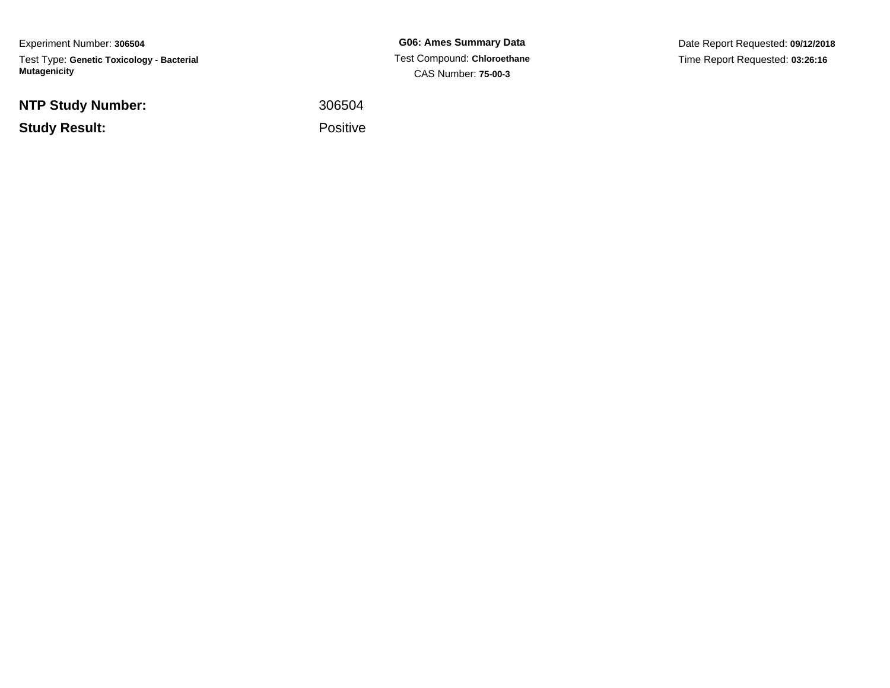Experiment Number: **306504**Test Type: **Genetic Toxicology - Bacterial Mutagenicity**

**NTP Study Number:**

**Study Result:**

**G06: Ames Summary Data** Test Compound: **Chloroethane**CAS Number: **75-00-3**

Date Report Requested: **09/12/2018**Time Report Requested: **03:26:16**

 <sup>306504</sup>Positive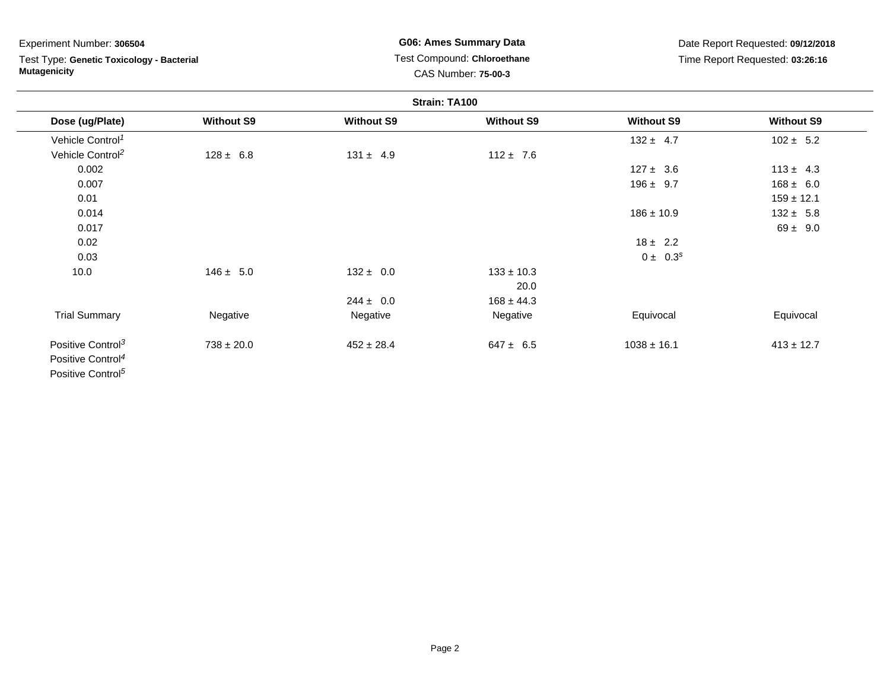Test Type: **Genetic Toxicology - Bacterial Mutagenicity**

**G06: Ames Summary Data** Test Compound: **Chloroethane**CAS Number: **75-00-3**

| Strain: TA100                 |                   |                   |                   |                   |                   |
|-------------------------------|-------------------|-------------------|-------------------|-------------------|-------------------|
| Dose (ug/Plate)               | <b>Without S9</b> | <b>Without S9</b> | <b>Without S9</b> | <b>Without S9</b> | <b>Without S9</b> |
| Vehicle Control <sup>1</sup>  |                   |                   |                   | $132 \pm 4.7$     | $102 \pm 5.2$     |
| Vehicle Control <sup>2</sup>  | $128 \pm 6.8$     | $131 \pm 4.9$     | $112 \pm 7.6$     |                   |                   |
| 0.002                         |                   |                   |                   | $127 \pm 3.6$     | $113 \pm 4.3$     |
| 0.007                         |                   |                   |                   | $196 \pm 9.7$     | $168 \pm 6.0$     |
| 0.01                          |                   |                   |                   |                   | $159 \pm 12.1$    |
| 0.014                         |                   |                   |                   | $186 \pm 10.9$    | $132 \pm 5.8$     |
| 0.017                         |                   |                   |                   |                   | $69 \pm 9.0$      |
| 0.02                          |                   |                   |                   | $18 \pm 2.2$      |                   |
| 0.03                          |                   |                   |                   | $0 \pm 0.3^s$     |                   |
| 10.0                          | $146 \pm 5.0$     | $132 \pm 0.0$     | $133 \pm 10.3$    |                   |                   |
|                               |                   |                   | 20.0              |                   |                   |
|                               |                   | $244 \pm 0.0$     | $168 \pm 44.3$    |                   |                   |
| <b>Trial Summary</b>          | Negative          | Negative          | Negative          | Equivocal         | Equivocal         |
| Positive Control <sup>3</sup> | $738 \pm 20.0$    | $452 \pm 28.4$    | $647 \pm 6.5$     | $1038 \pm 16.1$   | $413 \pm 12.7$    |
| Positive Control <sup>4</sup> |                   |                   |                   |                   |                   |
| Positive Control <sup>5</sup> |                   |                   |                   |                   |                   |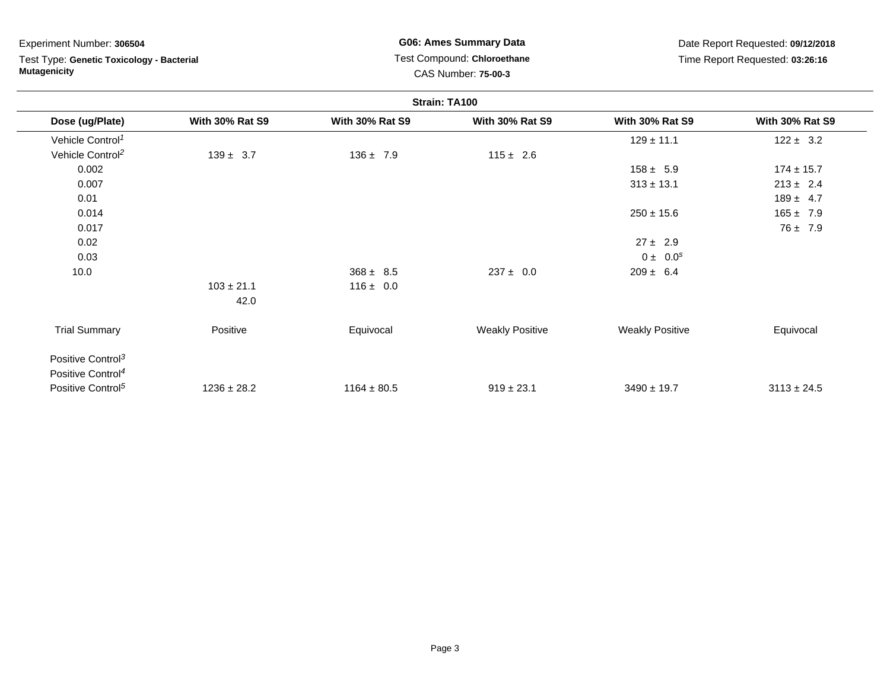Test Type: **Genetic Toxicology - Bacterial Mutagenicity**

**G06: Ames Summary Data** Test Compound: **Chloroethane**CAS Number: **75-00-3**

| Strain: TA100                 |                        |                        |                        |                        |                        |  |
|-------------------------------|------------------------|------------------------|------------------------|------------------------|------------------------|--|
| Dose (ug/Plate)               | <b>With 30% Rat S9</b> | <b>With 30% Rat S9</b> | <b>With 30% Rat S9</b> | <b>With 30% Rat S9</b> | <b>With 30% Rat S9</b> |  |
| Vehicle Control <sup>1</sup>  |                        |                        |                        | $129 \pm 11.1$         | $122 \pm 3.2$          |  |
| Vehicle Control <sup>2</sup>  | $139 \pm 3.7$          | $136 \pm 7.9$          | $115 \pm 2.6$          |                        |                        |  |
| 0.002                         |                        |                        |                        | $158 \pm 5.9$          | $174 \pm 15.7$         |  |
| 0.007                         |                        |                        |                        | $313 \pm 13.1$         | $213 \pm 2.4$          |  |
| 0.01                          |                        |                        |                        |                        | $189 \pm 4.7$          |  |
| 0.014                         |                        |                        |                        | $250 \pm 15.6$         | $165 \pm 7.9$          |  |
| 0.017                         |                        |                        |                        |                        | $76 \pm 7.9$           |  |
| 0.02                          |                        |                        |                        | $27 \pm 2.9$           |                        |  |
| 0.03                          |                        |                        |                        | $0 \pm 0.0^s$          |                        |  |
| 10.0                          |                        | $368 \pm 8.5$          | $237 \pm 0.0$          | $209 \pm 6.4$          |                        |  |
|                               | $103 \pm 21.1$         | $116 \pm 0.0$          |                        |                        |                        |  |
|                               | 42.0                   |                        |                        |                        |                        |  |
| <b>Trial Summary</b>          | Positive               | Equivocal              | <b>Weakly Positive</b> | <b>Weakly Positive</b> | Equivocal              |  |
| Positive Control <sup>3</sup> |                        |                        |                        |                        |                        |  |
| Positive Control <sup>4</sup> |                        |                        |                        |                        |                        |  |
| Positive Control <sup>5</sup> | $1236 \pm 28.2$        | $1164 \pm 80.5$        | $919 \pm 23.1$         | $3490 \pm 19.7$        | $3113 \pm 24.5$        |  |
|                               |                        |                        |                        |                        |                        |  |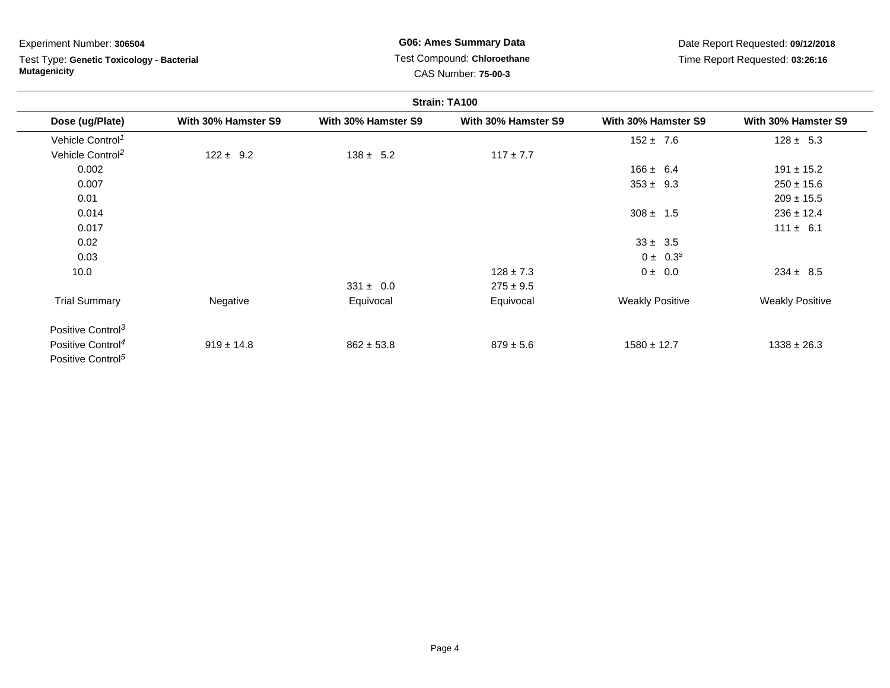Test Type: **Genetic Toxicology - Bacterial Mutagenicity**

**G06: Ames Summary Data** Test Compound: **Chloroethane**CAS Number: **75-00-3**

| Strain: TA100                 |                     |                     |                     |                        |                        |  |
|-------------------------------|---------------------|---------------------|---------------------|------------------------|------------------------|--|
| Dose (ug/Plate)               | With 30% Hamster S9 | With 30% Hamster S9 | With 30% Hamster S9 | With 30% Hamster S9    | With 30% Hamster S9    |  |
| Vehicle Control <sup>1</sup>  |                     |                     |                     | $152 \pm 7.6$          | $128 \pm 5.3$          |  |
| Vehicle Control <sup>2</sup>  | $122 \pm 9.2$       | $138 \pm 5.2$       | $117 \pm 7.7$       |                        |                        |  |
| 0.002                         |                     |                     |                     | $166 \pm 6.4$          | $191 \pm 15.2$         |  |
| 0.007                         |                     |                     |                     | $353 \pm 9.3$          | $250 \pm 15.6$         |  |
| 0.01                          |                     |                     |                     |                        | $209 \pm 15.5$         |  |
| 0.014                         |                     |                     |                     | $308 \pm 1.5$          | $236 \pm 12.4$         |  |
| 0.017                         |                     |                     |                     |                        | $111 \pm 6.1$          |  |
| 0.02                          |                     |                     |                     | $33 \pm 3.5$           |                        |  |
| 0.03                          |                     |                     |                     | $0 \pm 0.3^s$          |                        |  |
| 10.0                          |                     |                     | $128 \pm 7.3$       | 0 ± 0.0                | $234 \pm 8.5$          |  |
|                               |                     | $331 \pm 0.0$       | $275 \pm 9.5$       |                        |                        |  |
| <b>Trial Summary</b>          | Negative            | Equivocal           | Equivocal           | <b>Weakly Positive</b> | <b>Weakly Positive</b> |  |
| Positive Control <sup>3</sup> |                     |                     |                     |                        |                        |  |
| Positive Control <sup>4</sup> | $919 \pm 14.8$      | $862 \pm 53.8$      | $879 \pm 5.6$       | $1580 \pm 12.7$        | $1338 \pm 26.3$        |  |
| Positive Control <sup>5</sup> |                     |                     |                     |                        |                        |  |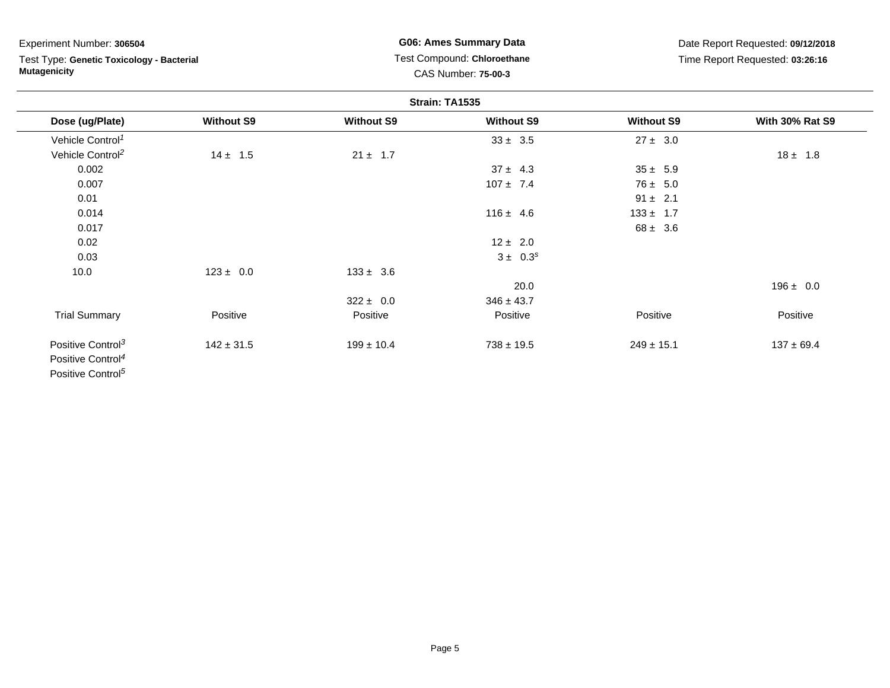Test Type: **Genetic Toxicology - Bacterial Mutagenicity**

**G06: Ames Summary Data** Test Compound: **Chloroethane**CAS Number: **75-00-3**

| Strain: TA1535                |                   |                   |                   |                   |                        |
|-------------------------------|-------------------|-------------------|-------------------|-------------------|------------------------|
| Dose (ug/Plate)               | <b>Without S9</b> | <b>Without S9</b> | <b>Without S9</b> | <b>Without S9</b> | <b>With 30% Rat S9</b> |
| Vehicle Control <sup>1</sup>  |                   |                   | $33 \pm 3.5$      | $27 \pm 3.0$      |                        |
| Vehicle Control <sup>2</sup>  | $14 \pm 1.5$      | $21 \pm 1.7$      |                   |                   | $18 \pm 1.8$           |
| 0.002                         |                   |                   | $37 \pm 4.3$      | $35 \pm 5.9$      |                        |
| 0.007                         |                   |                   | $107 \pm 7.4$     | $76 \pm 5.0$      |                        |
| 0.01                          |                   |                   |                   | $91 \pm 2.1$      |                        |
| 0.014                         |                   |                   | $116 \pm 4.6$     | $133 \pm 1.7$     |                        |
| 0.017                         |                   |                   |                   | $68 \pm 3.6$      |                        |
| 0.02                          |                   |                   | $12 \pm 2.0$      |                   |                        |
| 0.03                          |                   |                   | $3 \pm 0.3^s$     |                   |                        |
| 10.0                          | $123 \pm 0.0$     | $133 \pm 3.6$     |                   |                   |                        |
|                               |                   |                   | 20.0              |                   | $196 \pm 0.0$          |
|                               |                   | $322 \pm 0.0$     | $346 \pm 43.7$    |                   |                        |
| <b>Trial Summary</b>          | Positive          | Positive          | Positive          | Positive          | Positive               |
| Positive Control <sup>3</sup> | $142 \pm 31.5$    | $199 \pm 10.4$    | $738 \pm 19.5$    | $249 \pm 15.1$    | $137 \pm 69.4$         |
| Positive Control <sup>4</sup> |                   |                   |                   |                   |                        |
| Positive Control <sup>5</sup> |                   |                   |                   |                   |                        |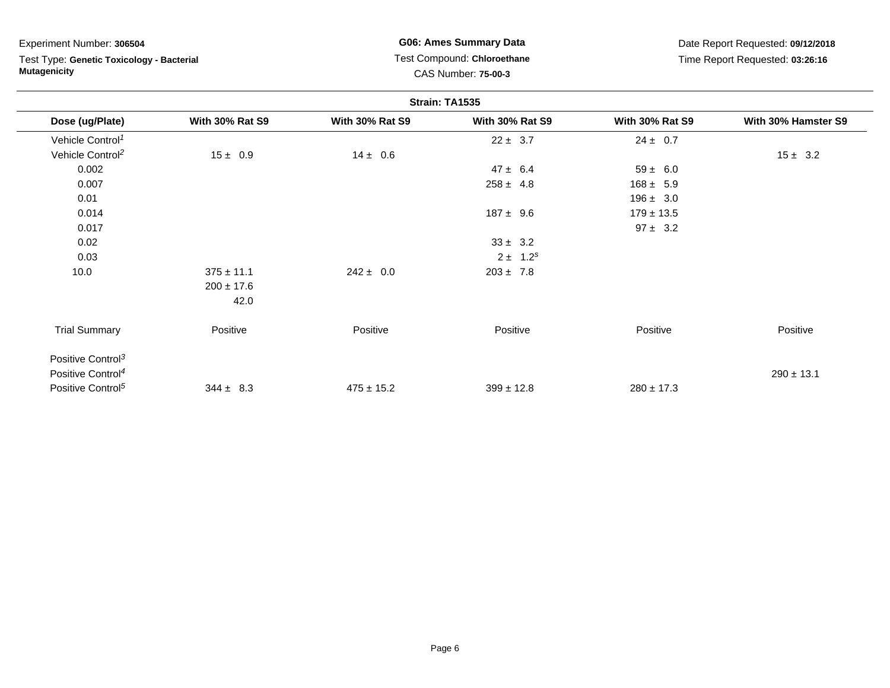Test Type: **Genetic Toxicology - Bacterial Mutagenicity**

**G06: Ames Summary Data** Test Compound: **Chloroethane**CAS Number: **75-00-3**

| Strain: TA1535                |                        |                        |                        |                        |                     |
|-------------------------------|------------------------|------------------------|------------------------|------------------------|---------------------|
| Dose (ug/Plate)               | <b>With 30% Rat S9</b> | <b>With 30% Rat S9</b> | <b>With 30% Rat S9</b> | <b>With 30% Rat S9</b> | With 30% Hamster S9 |
| Vehicle Control <sup>1</sup>  |                        |                        | $22 \pm 3.7$           | $24 \pm 0.7$           |                     |
| Vehicle Control <sup>2</sup>  | $15 \pm 0.9$           | $14 \pm 0.6$           |                        |                        | $15 \pm 3.2$        |
| 0.002                         |                        |                        | $47 \pm 6.4$           | $59 \pm 6.0$           |                     |
| 0.007                         |                        |                        | $258 \pm 4.8$          | $168 \pm 5.9$          |                     |
| 0.01                          |                        |                        |                        | $196 \pm 3.0$          |                     |
| 0.014                         |                        |                        | $187 \pm 9.6$          | $179 \pm 13.5$         |                     |
| 0.017                         |                        |                        |                        | $97 \pm 3.2$           |                     |
| 0.02                          |                        |                        | $33 \pm 3.2$           |                        |                     |
| 0.03                          |                        |                        | $2 \pm 1.2^s$          |                        |                     |
| 10.0                          | $375 \pm 11.1$         | $242 \pm 0.0$          | $203 \pm 7.8$          |                        |                     |
|                               | $200 \pm 17.6$         |                        |                        |                        |                     |
|                               | 42.0                   |                        |                        |                        |                     |
| <b>Trial Summary</b>          | Positive               | Positive               | Positive               | Positive               | Positive            |
| Positive Control <sup>3</sup> |                        |                        |                        |                        |                     |
| Positive Control <sup>4</sup> |                        |                        |                        |                        | $290 \pm 13.1$      |
| Positive Control <sup>5</sup> | $344 \pm 8.3$          | $475 \pm 15.2$         | $399 \pm 12.8$         | $280 \pm 17.3$         |                     |
|                               |                        |                        |                        |                        |                     |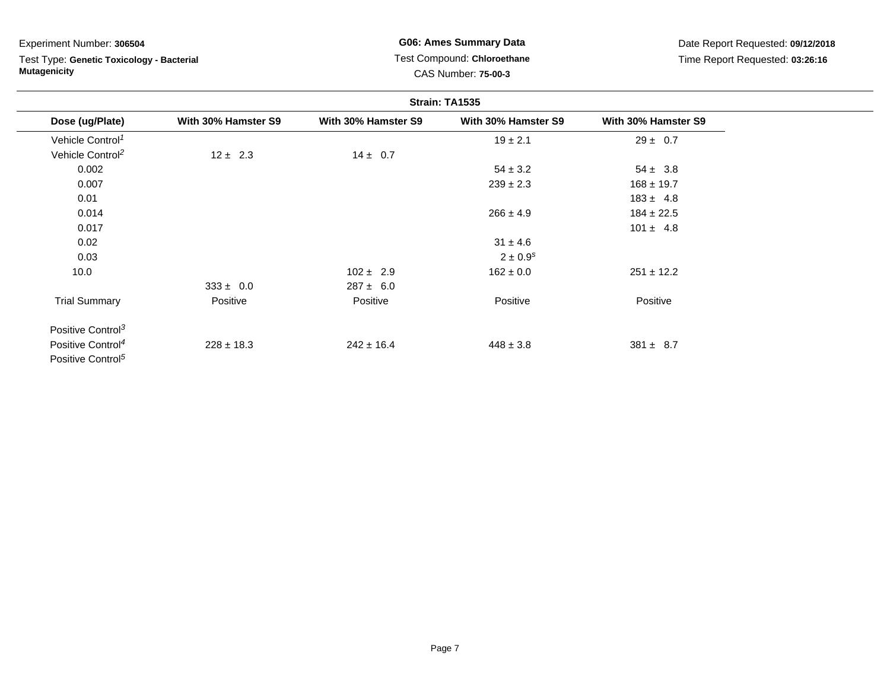Test Type: **Genetic Toxicology - Bacterial Mutagenicity**

**G06: Ames Summary Data** Test Compound: **Chloroethane**CAS Number: **75-00-3**

| Strain: TA1535                |                     |                     |                     |                     |  |
|-------------------------------|---------------------|---------------------|---------------------|---------------------|--|
| Dose (ug/Plate)               | With 30% Hamster S9 | With 30% Hamster S9 | With 30% Hamster S9 | With 30% Hamster S9 |  |
| Vehicle Control <sup>1</sup>  |                     |                     | $19 \pm 2.1$        | $29 \pm 0.7$        |  |
| Vehicle Control <sup>2</sup>  | $12 \pm 2.3$        | $14 \pm 0.7$        |                     |                     |  |
| 0.002                         |                     |                     | $54 \pm 3.2$        | $54 \pm 3.8$        |  |
| 0.007                         |                     |                     | $239 \pm 2.3$       | $168 \pm 19.7$      |  |
| 0.01                          |                     |                     |                     | $183 \pm 4.8$       |  |
| 0.014                         |                     |                     | $266 \pm 4.9$       | $184 \pm 22.5$      |  |
| 0.017                         |                     |                     |                     | $101 \pm 4.8$       |  |
| 0.02                          |                     |                     | $31 \pm 4.6$        |                     |  |
| 0.03                          |                     |                     | $2 \pm 0.9^s$       |                     |  |
| 10.0                          |                     | $102 \pm 2.9$       | $162 \pm 0.0$       | $251 \pm 12.2$      |  |
|                               | $333 \pm 0.0$       | $287 \pm 6.0$       |                     |                     |  |
| <b>Trial Summary</b>          | Positive            | Positive            | Positive            | Positive            |  |
| Positive Control <sup>3</sup> |                     |                     |                     |                     |  |
| Positive Control <sup>4</sup> | $228 \pm 18.3$      | $242 \pm 16.4$      | $448 \pm 3.8$       | $381 \pm 8.7$       |  |
| Positive Control <sup>5</sup> |                     |                     |                     |                     |  |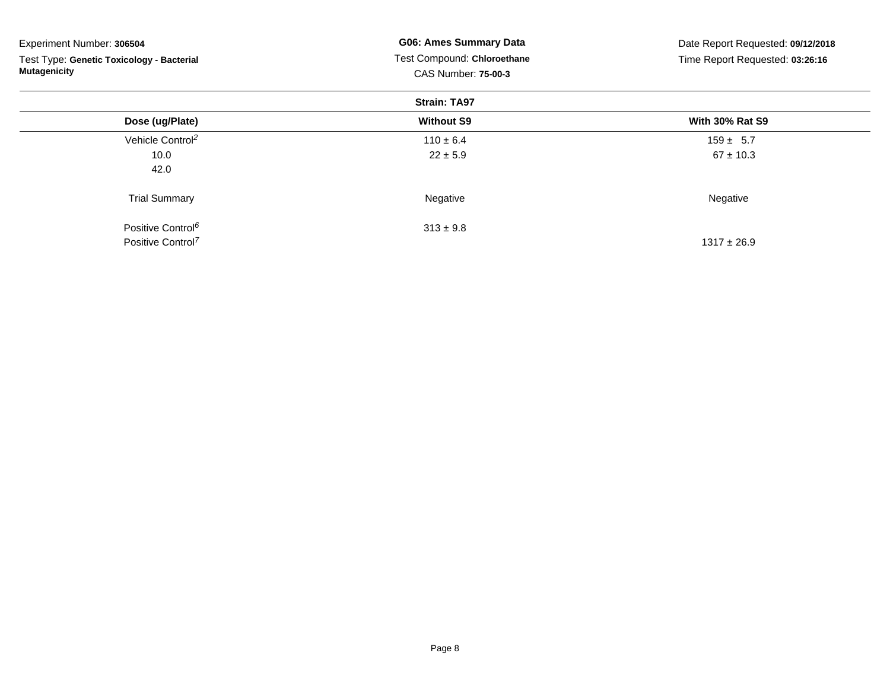| Experiment Number: 306504                 | <b>G06: Ames Summary Data</b> | Date Report Requested: 09/12/2018<br>Time Report Requested: 03:26:16 |  |  |
|-------------------------------------------|-------------------------------|----------------------------------------------------------------------|--|--|
| Test Type: Genetic Toxicology - Bacterial | Test Compound: Chloroethane   |                                                                      |  |  |
| <b>Mutagenicity</b>                       | <b>CAS Number: 75-00-3</b>    |                                                                      |  |  |
|                                           | <b>Strain: TA97</b>           |                                                                      |  |  |
| Dose (ug/Plate)                           | <b>Without S9</b>             | <b>With 30% Rat S9</b>                                               |  |  |
| Vehicle Control <sup>2</sup>              | $110 \pm 6.4$                 | $159 \pm 5.7$                                                        |  |  |
| 10.0                                      | $22 \pm 5.9$                  | $67 \pm 10.3$                                                        |  |  |
| 42.0                                      |                               |                                                                      |  |  |
| <b>Trial Summary</b>                      | Negative                      | Negative                                                             |  |  |
| Positive Control <sup>6</sup>             | $313 \pm 9.8$                 |                                                                      |  |  |
| Positive Control <sup>7</sup>             |                               | $1317 \pm 26.9$                                                      |  |  |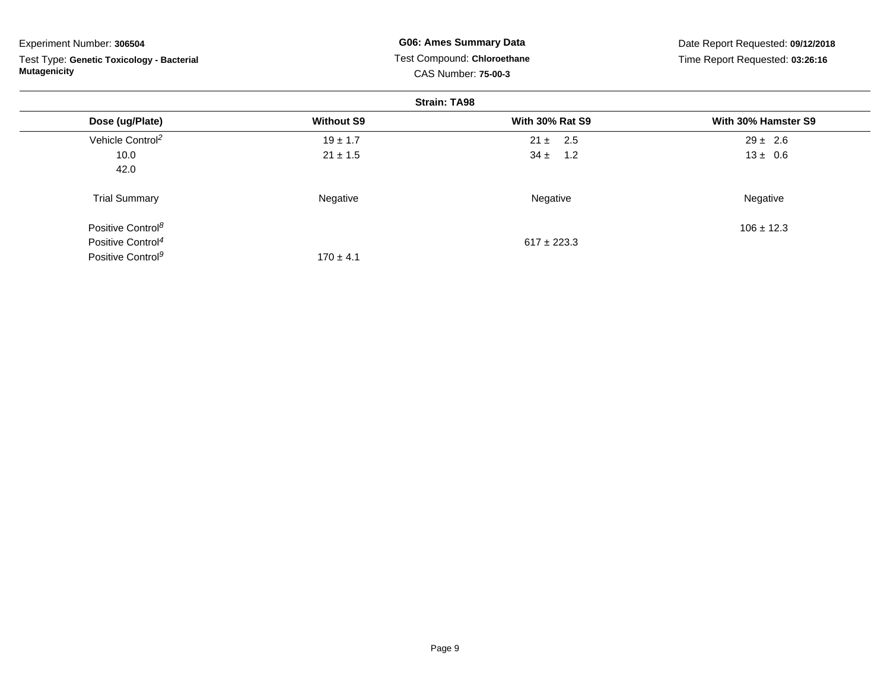| Experiment Number: 306504                 | <b>G06: Ames Summary Data</b> | Date Report Requested: 09/12/2018 |                     |  |
|-------------------------------------------|-------------------------------|-----------------------------------|---------------------|--|
| Test Type: Genetic Toxicology - Bacterial | Test Compound: Chloroethane   | Time Report Requested: 03:26:16   |                     |  |
| <b>Mutagenicity</b>                       |                               | <b>CAS Number: 75-00-3</b>        |                     |  |
|                                           |                               | <b>Strain: TA98</b>               |                     |  |
| Dose (ug/Plate)                           | <b>Without S9</b>             | <b>With 30% Rat S9</b>            | With 30% Hamster S9 |  |
| Vehicle Control <sup>2</sup>              | $19 \pm 1.7$                  | $21 \pm 2.5$                      | $29 \pm 2.6$        |  |
| 10.0                                      | $21 \pm 1.5$                  | $34 \pm 1.2$                      | $13 \pm 0.6$        |  |
| 42.0                                      |                               |                                   |                     |  |
| <b>Trial Summary</b>                      | Negative                      | Negative                          | Negative            |  |
| Positive Control <sup>8</sup>             |                               |                                   | $106 \pm 12.3$      |  |
| Positive Control <sup>4</sup>             |                               | $617 \pm 223.3$                   |                     |  |
| Positive Control <sup>9</sup>             | $170 \pm 4.1$                 |                                   |                     |  |